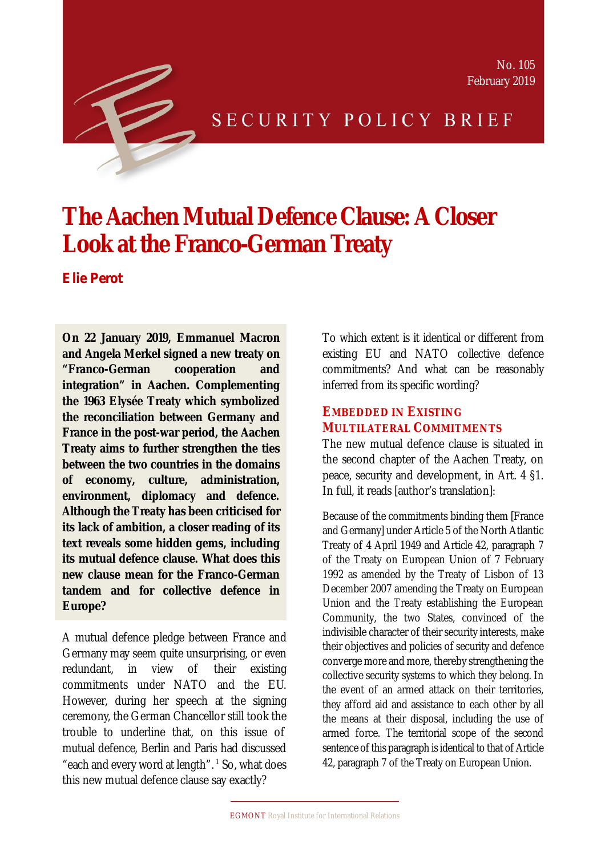



# SECURITY POLICY BRIEF

# **The Aachen Mutual Defence Clause: A Closer Look at the Franco-German Treaty**

*Elie Perot*

**On 22 January 2019, Emmanuel Macron and Angela Merkel signed a new treaty on "Franco-German cooperation and integration" in Aachen. Complementing the 1963 Elysée Treaty which symbolized the reconciliation between Germany and France in the post-war period, the Aachen Treaty aims to further strengthen the ties between the two countries in the domains of economy, culture, administration, environment, diplomacy and defence. Although the Treaty has been criticised for its lack of ambition, a closer reading of its text reveals some hidden gems, including its mutual defence clause. What does this new clause mean for the Franco-German tandem and for collective defence in Europe?**

A mutual defence pledge between France and Germany may seem quite unsurprising, or even redundant, in view of their existing commitments under NATO and the EU. However, during her speech at the signing ceremony, the German Chancellor still took the trouble to underline that, on this issue of mutual defence, Berlin and Paris had discussed "each and every word at length".<sup>1</sup> So, what does this new mutual defence clause say exactly?

To which extent is it identical or different from existing EU and NATO collective defence commitments? And what can be reasonably inferred from its specific wording?

### **EMBEDDED IN EXISTING MULTILATERAL COMMITMENTS**

The new mutual defence clause is situated in the second chapter of the Aachen Treaty, on peace, security and development, in Art. 4 §1. In full, it reads [author's translation]:

Because of the commitments binding them [France and Germany] under Article 5 of the North Atlantic Treaty of 4 April 1949 and Article 42, paragraph 7 of the Treaty on European Union of 7 February 1992 as amended by the Treaty of Lisbon of 13 December 2007 amending the Treaty on European Union and the Treaty establishing the European Community, the two States, convinced of the indivisible character of their security interests, make their objectives and policies of security and defence converge more and more, thereby strengthening the collective security systems to which they belong. In the event of an armed attack on their territories, they afford aid and assistance to each other by all the means at their disposal, including the use of armed force. The territorial scope of the second sentence of this paragraph is identical to that of Article 42, paragraph 7 of the Treaty on European Union.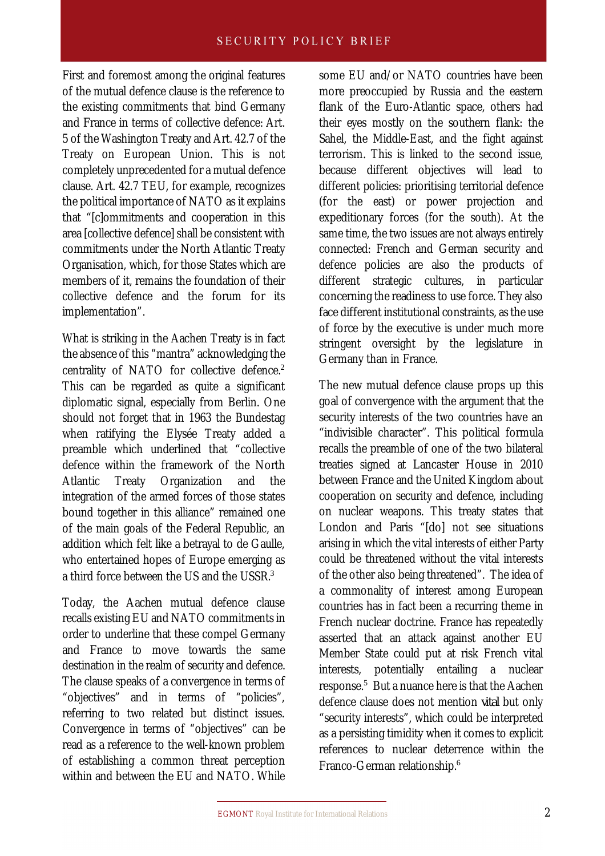First and foremost among the original features of the mutual defence clause is the reference to the existing commitments that bind Germany and France in terms of collective defence: Art. 5 of the Washington Treaty and Art. 42.7 of the Treaty on European Union. This is not completely unprecedented for a mutual defence clause. Art. 42.7 TEU, for example, recognizes the political importance of NATO as it explains that "[c]ommitments and cooperation in this area [collective defence] shall be consistent with commitments under the North Atlantic Treaty Organisation, which, for those States which are members of it, remains the foundation of their collective defence and the forum for its implementation".

What is striking in the Aachen Treaty is in fact the absence of this "mantra" acknowledging the centrality of NATO for collective defence. $2$ This can be regarded as quite a significant diplomatic signal, especially from Berlin. One should not forget that in 1963 the Bundestag when ratifying the Elysée Treaty added a preamble which underlined that "collective defence within the framework of the North Atlantic Treaty Organization and the integration of the armed forces of those states bound together in this alliance" remained one of the main goals of the Federal Republic, an addition which felt like a betrayal to de Gaulle, who entertained hopes of Europe emerging as a third force between the US and the USSR. $3$ 

Today, the Aachen mutual defence clause recalls existing EU and NATO commitments in order to underline that these compel Germany and France to move towards the same destination in the realm of security and defence. The clause speaks of a convergence in terms of "objectives" and in terms of "policies", referring to two related but distinct issues. Convergence in terms of "objectives" can be read as a reference to the well-known problem of establishing a common threat perception within and between the FU and NATO. While

some EU and/or NATO countries have been more preoccupied by Russia and the eastern flank of the Euro-Atlantic space, others had their eyes mostly on the southern flank: the Sahel, the Middle-East, and the fight against terrorism. This is linked to the second issue, because different objectives will lead to different policies: prioritising territorial defence (for the east) or power projection and expeditionary forces (for the south). At the same time, the two issues are not always entirely connected: French and German security and defence policies are also the products of different strategic cultures, in particular concerning the readiness to use force. They also face different institutional constraints, as the use of force by the executive is under much more stringent oversight by the legislature in Germany than in France.

The new mutual defence clause props up this goal of convergence with the argument that the security interests of the two countries have an "indivisible character". This political formula recalls the preamble of one of the two bilateral treaties signed at Lancaster House in 2010 between France and the United Kingdom about cooperation on security and defence, including on nuclear weapons. This treaty states that London and Paris "[do] not see situations arising in which the vital interests of either Party could be threatened without the vital interests of the other also being threatened". The idea of a commonality of interest among European countries has in fact been a recurring theme in French nuclear doctrine. France has repeatedly asserted that an attack against another EU Member State could put at risk French vital interests, potentially entailing a nuclear response.<sup>5</sup> But a nuance here is that the Aachen defence clause does not mention *vital* but only "security interests", which could be interpreted as a persisting timidity when it comes to explicit references to nuclear deterrence within the Franco-German relationship.<sup>6</sup>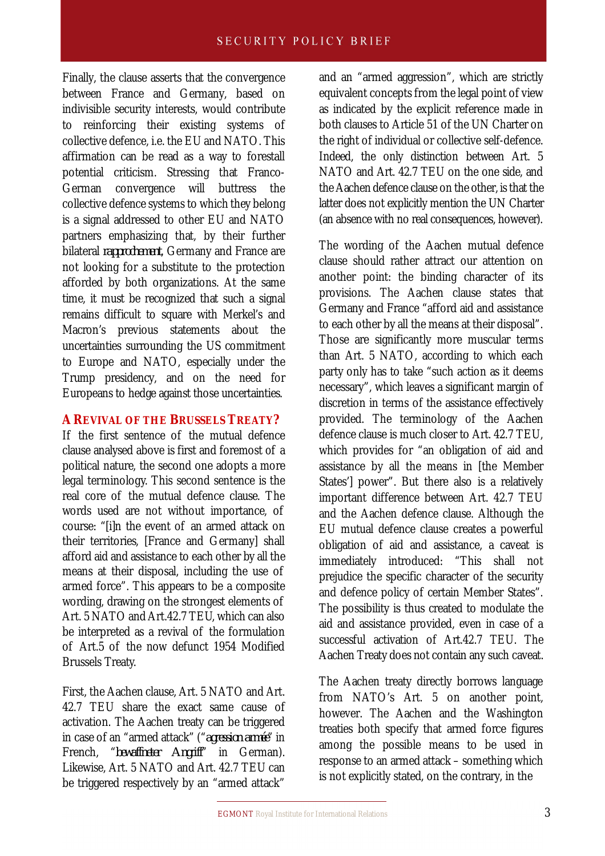Finally, the clause asserts that the convergence between France and Germany, based on indivisible security interests, would contribute to reinforcing their existing systems of collective defence, i.e. the EU and NATO. This affirmation can be read as a way to forestall potential criticism. Stressing that Franco-German convergence will buttress the collective defence systems to which they belong is a signal addressed to other EU and NATO partners emphasizing that, by their further bilateral *rapprochement*, Germany and France are not looking for a substitute to the protection afforded by both organizations. At the same time, it must be recognized that such a signal remains difficult to square with Merkel's and Macron's previous statements about the uncertainties surrounding the US commitment to Europe and NATO, especially under the Trump presidency, and on the need for Europeans to hedge against those uncertainties.

#### **A REVIVAL OF THE BRUSSELS TREATY?**

If the first sentence of the mutual defence clause analysed above is first and foremost of a political nature, the second one adopts a more legal terminology. This second sentence is the real core of the mutual defence clause. The words used are not without importance, of course: "[i]n the event of an armed attack on their territories, [France and Germany] shall afford aid and assistance to each other by all the means at their disposal, including the use of armed force". This appears to be a composite wording, drawing on the strongest elements of Art. 5 NATO and Art.42.7 TEU, which can also be interpreted as a revival of the formulation of Art.5 of the now defunct 1954 Modified Brussels Treaty.

First, the Aachen clause, Art. 5 NATO and Art. 42.7 TEU share the exact same cause of activation. The Aachen treaty can be triggered in case of an "armed attack" ("*agression armée*" in French, "*bewaffneter Angriff*" in German). Likewise, Art. 5 NATO and Art. 42.7 TEU can be triggered respectively by an "armed attack"

and an "armed aggression", which are strictly equivalent concepts from the legal point of view as indicated by the explicit reference made in both clauses to Article 51 of the UN Charter on the right of individual or collective self-defence. Indeed, the only distinction between Art. 5 NATO and Art. 42.7 TEU on the one side, and the Aachen defence clause on the other, is that the latter does not explicitly mention the UN Charter (an absence with no real consequences, however).

The wording of the Aachen mutual defence clause should rather attract our attention on another point: the binding character of its provisions. The Aachen clause states that Germany and France "afford aid and assistance to each other by all the means at their disposal". Those are significantly more muscular terms than Art. 5 NATO, according to which each party only has to take "such action as it deems necessary", which leaves a significant margin of discretion in terms of the assistance effectively provided. The terminology of the Aachen defence clause is much closer to Art. 42.7 TEU, which provides for "an obligation of aid and assistance by all the means in [the Member States'] power". But there also is a relatively important difference between Art. 42.7 TEU and the Aachen defence clause. Although the EU mutual defence clause creates a powerful obligation of aid and assistance, a caveat is immediately introduced: "This shall not prejudice the specific character of the security and defence policy of certain Member States". The possibility is thus created to modulate the aid and assistance provided, even in case of a successful activation of Art.42.7 TEU. The Aachen Treaty does not contain any such caveat.

The Aachen treaty directly borrows language from NATO's Art. 5 on another point, however. The Aachen and the Washington treaties both specify that armed force figures among the possible means to be used in response to an armed attack – something which is not explicitly stated, on the contrary, in the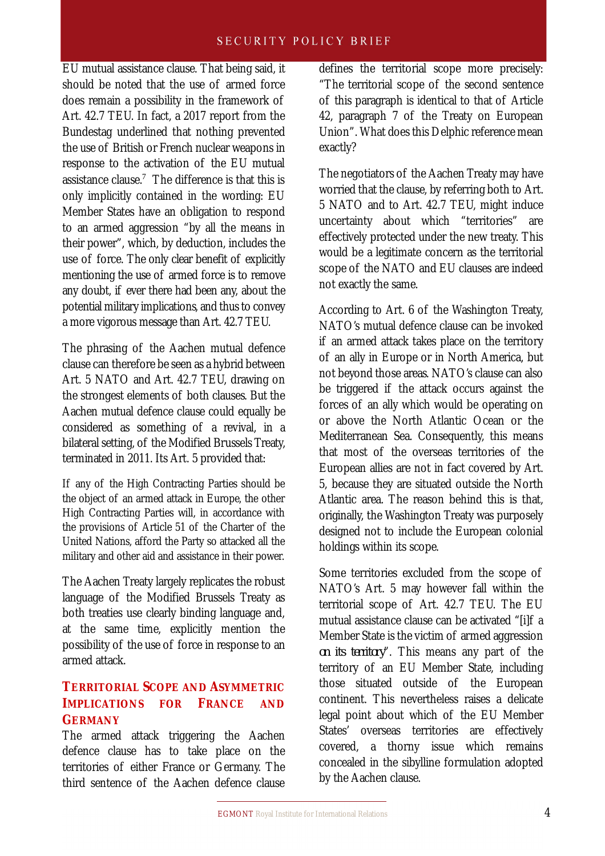EU mutual assistance clause. That being said, it should be noted that the use of armed force does remain a possibility in the framework of Art. 42.7 TEU. In fact, a 2017 report from the Bundestag underlined that nothing prevented the use of British or French nuclear weapons in response to the activation of the EU mutual assistance clause.<sup>7</sup> The difference is that this is only implicitly contained in the wording: EU Member States have an obligation to respond to an armed aggression "by all the means in their power", which, by deduction, includes the use of force. The only clear benefit of explicitly mentioning the use of armed force is to remove any doubt, if ever there had been any, about the potential military implications, and thus to convey a more vigorous message than Art. 42.7 TEU.

The phrasing of the Aachen mutual defence clause can therefore be seen as a hybrid between Art. 5 NATO and Art. 42.7 TEU, drawing on the strongest elements of both clauses. But the Aachen mutual defence clause could equally be considered as something of a revival, in a bilateral setting, of the Modified Brussels Treaty, terminated in 2011. Its Art. 5 provided that:

If any of the High Contracting Parties should be the object of an armed attack in Europe, the other High Contracting Parties will, in accordance with the provisions of Article 51 of the Charter of the United Nations, afford the Party so attacked all the military and other aid and assistance in their power.

The Aachen Treaty largely replicates the robust language of the Modified Brussels Treaty as both treaties use clearly binding language and, at the same time, explicitly mention the possibility of the use of force in response to an armed attack.

## **TERRITORIAL SCOPE AND ASYMMETRIC IMPLICATIONS FOR FRANCE AND GERMANY**

The armed attack triggering the Aachen defence clause has to take place on the territories of either France or Germany. The third sentence of the Aachen defence clause defines the territorial scope more precisely: "The territorial scope of the second sentence of this paragraph is identical to that of Article 42, paragraph 7 of the Treaty on European Union". What does this Delphic reference mean exactly?

The negotiators of the Aachen Treaty may have worried that the clause, by referring both to Art. 5 NATO and to Art. 42.7 TEU, might induce uncertainty about which "territories" are effectively protected under the new treaty. This would be a legitimate concern as the territorial scope of the NATO and EU clauses are indeed not exactly the same.

According to Art. 6 of the Washington Treaty, NATO's mutual defence clause can be invoked if an armed attack takes place on the territory of an ally in Europe or in North America, but not beyond those areas. NATO's clause can also be triggered if the attack occurs against the forces of an ally which would be operating on or above the North Atlantic Ocean or the Mediterranean Sea. Consequently, this means that most of the overseas territories of the European allies are not in fact covered by Art. 5, because they are situated outside the North Atlantic area. The reason behind this is that, originally, the Washington Treaty was purposely designed not to include the European colonial holdings within its scope.

Some territories excluded from the scope of NATO's Art. 5 may however fall within the territorial scope of Art. 42.7 TEU. The EU mutual assistance clause can be activated "[i]f a Member State is the victim of armed aggression *on its territory*". This means any part of the territory of an EU Member State, including those situated outside of the European continent. This nevertheless raises a delicate legal point about which of the EU Member States' overseas territories are effectively covered, a thorny issue which remains concealed in the sibylline formulation adopted by the Aachen clause.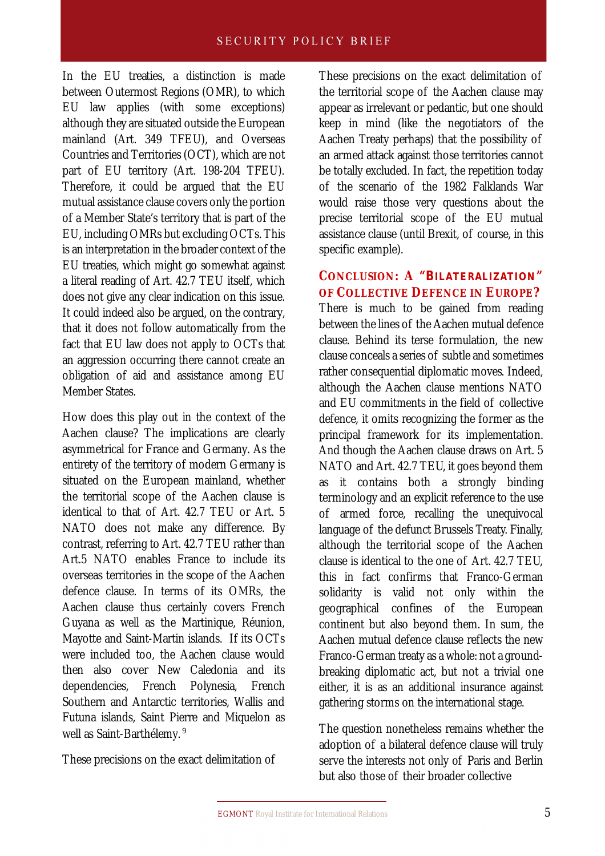In the EU treaties, a distinction is made between Outermost Regions (OMR), to which EU law applies (with some exceptions) although they are situated outside the European mainland (Art. 349 TFEU), and Overseas Countries and Territories (OCT), which are not part of EU territory (Art. 198-204 TFEU). Therefore, it could be argued that the EU mutual assistance clause covers only the portion of a Member State's territory that is part of the EU, including OMRs but excluding OCTs. This is an interpretation in the broader context of the EU treaties, which might go somewhat against a literal reading of Art. 42.7 TEU itself, which does not give any clear indication on this issue. It could indeed also be argued, on the contrary, that it does not follow automatically from the fact that EU law does not apply to OCTs that an aggression occurring there cannot create an obligation of aid and assistance among EU Member States.

How does this play out in the context of the Aachen clause? The implications are clearly asymmetrical for France and Germany. As the entirety of the territory of modern Germany is situated on the European mainland, whether the territorial scope of the Aachen clause is identical to that of Art. 42.7 TEU or Art. 5 NATO does not make any difference. By contrast, referring to Art. 42.7 TEU rather than Art.5 NATO enables France to include its overseas territories in the scope of the Aachen defence clause. In terms of its OMRs, the Aachen clause thus certainly covers French Guyana as well as the Martinique, Réunion, Mayotte and Saint-Martin islands. If its OCTs were included too, the Aachen clause would then also cover New Caledonia and its dependencies, French Polynesia, French Southern and Antarctic territories, Wallis and Futuna islands, Saint Pierre and Miquelon as well as Saint-Barthélemy.<sup>9</sup>

These precisions on the exact delimitation of

These precisions on the exact delimitation of the territorial scope of the Aachen clause may appear as irrelevant or pedantic, but one should keep in mind (like the negotiators of the Aachen Treaty perhaps) that the possibility of an armed attack against those territories cannot be totally excluded. In fact, the repetition today of the scenario of the 1982 Falklands War would raise those very questions about the precise territorial scope of the EU mutual assistance clause (until Brexit, of course, in this specific example).

# **CONCLUSION: A "***BILATERALIZATION***" OF COLLECTIVE DEFENCE IN EUROPE?**

There is much to be gained from reading between the lines of the Aachen mutual defence clause. Behind its terse formulation, the new clause conceals a series of subtle and sometimes rather consequential diplomatic moves. Indeed, although the Aachen clause mentions NATO and EU commitments in the field of collective defence, it omits recognizing the former as the principal framework for its implementation. And though the Aachen clause draws on Art. 5 NATO and Art. 42.7 TEU, it goes beyond them as it contains both a strongly binding terminology and an explicit reference to the use of armed force, recalling the unequivocal language of the defunct Brussels Treaty. Finally, although the territorial scope of the Aachen clause is identical to the one of Art. 42.7 TEU, this in fact confirms that Franco-German solidarity is valid not only within the geographical confines of the European continent but also beyond them. In sum, the Aachen mutual defence clause reflects the new Franco-German treaty as a whole: not a groundbreaking diplomatic act, but not a trivial one either, it is as an additional insurance against gathering storms on the international stage.

The question nonetheless remains whether the adoption of a bilateral defence clause will truly serve the interests not only of Paris and Berlin but also those of their broader collective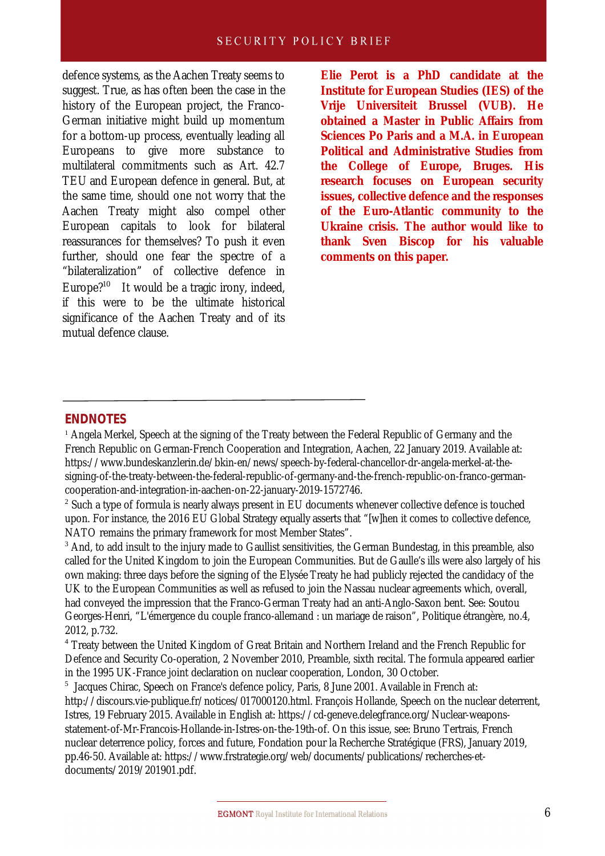#### **SECURITY POLICY BRIEF**

defence systems, as the Aachen Treaty seems to suggest. True, as has often been the case in the history of the European project, the Franco-German initiative might build up momentum for a bottom-up process, eventually leading all Europeans to give more substance to multilateral commitments such as Art. 42.7 TEU and European defence in general. But, at the same time, should one not worry that the Aachen Treaty might also compel other European capitals to look for bilateral reassurances for themselves? To push it even further, should one fear the spectre of a "bilateralization" of collective defence in Europe?<sup>10</sup> It would be a tragic irony, indeed, if this were to be the ultimate historical significance of the Aachen Treaty and of its mutual defence clause.

**Elie Perot is a PhD candidate at the Institute for European Studies (IES) of the Vrije Universiteit Brussel (VUB). He obtained a Master in Public Affairs from Sciences Po Paris and a M.A. in European Political and Administrative Studies from the College of Europe, Bruges. His research focuses on European security issues, collective defence and the responses of the Euro-Atlantic community to the Ukraine crisis. The author would like to thank Sven Biscop for his valuable comments on this paper.**

#### **ENDNOTES**

<sup>1</sup> Angela Merkel, Speech at the signing of the Treaty between the Federal Republic of Germany and the French Republic on German-French Cooperation and Integration, Aachen, 22 January 2019. Available at: https://www.bundeskanzlerin.de/bkin-en/news/speech-by-federal-chancellor-dr-angela-merkel-at-thesigning-of-the-treaty-between-the-federal-republic-of-germany-and-the-french-republic-on-franco-germancooperation-and-integration-in-aachen-on-22-january-2019-1572746.

 $2$  Such a type of formula is nearly always present in EU documents whenever collective defence is touched upon. For instance, the 2016 EU Global Strategy equally asserts that "[w]hen it comes to collective defence, NATO remains the primary framework for most Member States".

<sup>3</sup> And, to add insult to the injury made to Gaullist sensitivities, the German Bundestag, in this preamble, also called for the United Kingdom to join the European Communities. But de Gaulle's ills were also largely of his own making: three days before the signing of the Elysée Treaty he had publicly rejected the candidacy of the UK to the European Communities as well as refused to join the Nassau nuclear agreements which, overall, had conveyed the impression that the Franco-German Treaty had an anti-Anglo-Saxon bent. See: Soutou Georges-Henri, "L'émergence du couple franco-allemand : un mariage de raison", Politique étrangère, no.4, 2012, p.732.

<sup>4</sup> Treaty between the United Kingdom of Great Britain and Northern Ireland and the French Republic for Defence and Security Co-operation, 2 November 2010, Preamble, sixth recital. The formula appeared earlier in the 1995 UK-France joint declaration on nuclear cooperation, London, 30 October.

<sup>5</sup> Jacques Chirac, Speech on France's defence policy, Paris, 8 June 2001. Available in French at: http://discours.vie-publique.fr/notices/017000120.html. François Hollande, Speech on the nuclear deterrent, Istres, 19 February 2015. Available in English at: https://cd-geneve.delegfrance.org/Nuclear-weaponsstatement-of-Mr-Francois-Hollande-in-Istres-on-the-19th-of. On this issue, see: Bruno Tertrais, French nuclear deterrence policy, forces and future, Fondation pour la Recherche Stratégique (FRS), January 2019, pp.46-50. Available at: https://www.frstrategie.org/web/documents/publications/recherches-etdocuments/2019/201901.pdf.